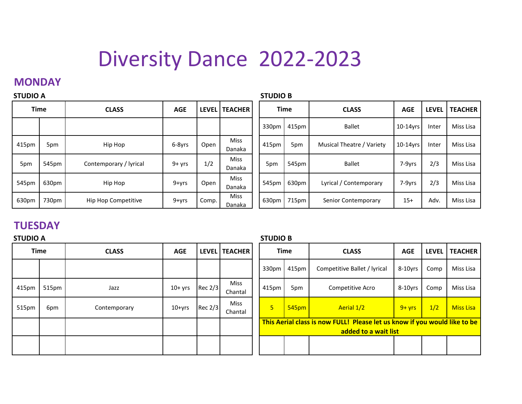# Diversity Dance 2022-2023

## **MONDAY**

| <b>STUDIO A</b> |       |                        | <b>STUDIO B</b> |       |                       |       |             |                           |            |              |                |
|-----------------|-------|------------------------|-----------------|-------|-----------------------|-------|-------------|---------------------------|------------|--------------|----------------|
| <b>Time</b>     |       | <b>CLASS</b>           | <b>AGE</b>      |       | LEVEL   TEACHER       |       | <b>Time</b> | <b>CLASS</b>              | <b>AGE</b> | <b>LEVEL</b> | <b>TEACHER</b> |
|                 |       |                        |                 |       |                       | 330pm | 415pm       | <b>Ballet</b>             | 10-14yrs   | Inter        | Miss Lisa      |
| 415pm           | 5pm   | Hip Hop                | 6-8yrs          | Open  | <b>Miss</b><br>Danaka | 415pm | 5pm         | Musical Theatre / Variety | 10-14yrs   | Inter        | Miss Lisa      |
| 5pm             | 545pm | Contemporary / lyrical | $9 + yrs$       | 1/2   | <b>Miss</b><br>Danaka | 5pm   | 545pm       | <b>Ballet</b>             | 7-9yrs     | 2/3          | Miss Lisa      |
| 545pm           | 630pm | Hip Hop                | 9+yrs           | Open  | Miss<br>Danaka        | 545pm | 630pm       | Lyrical / Contemporary    | 7-9yrs     | 2/3          | Miss Lisa      |
| 630pm           | 730pm | Hip Hop Competitive    | 9+yrs           | Comp. | <b>Miss</b><br>Danaka | 630pm | 715pm       | Senior Contemporary       | $15+$      | Adv.         | Miss Lisa      |

## **TUESDAY**

# $415\text{pm}$  515pm Jazz Jazz 10+ yrs Rec 2/3 Miss  $515\text{pm}$  6pm Contemporary 10+yrs Rec 2/3 Miss<br>Chantal **STUDIO A**

#### **STUDIO B**

| <b>Time</b> |       | <b>CLASS</b> | <b>AGE</b> |           | LEVEL   TEACHER |  | <b>Time</b> |                   | <b>CLASS</b>                                                              |            | <b>AGE</b> | <b>LEVEL</b> | <b>TEACHER</b> |
|-------------|-------|--------------|------------|-----------|-----------------|--|-------------|-------------------|---------------------------------------------------------------------------|------------|------------|--------------|----------------|
|             |       |              |            |           |                 |  | 330pm       | 415pm             | Competitive Ballet / lyrical                                              | $8-10$ yrs | Comp       | Miss Lisa    |                |
|             | 515pm | Jazz         | 10+ yrs    | Rec 2/3   | Miss<br>Chantal |  | 415pm       | 5pm               | Competitive Acro                                                          | $8-10$ yrs | Comp       | Miss Lisa    |                |
|             | 6pm   | Contemporary | $10+yrs$   | Rec $2/3$ | Miss<br>Chantal |  | 5           | 545 <sub>pm</sub> | Aerial 1/2                                                                | $9 + vrs$  | 1/2        | Miss Lisa    |                |
|             |       |              |            |           |                 |  |             |                   | This Aerial class is now FULL! Please let us know if you would like to be |            |            |              |                |
|             |       |              |            |           |                 |  |             |                   | added to a wait list                                                      |            |            |              |                |
|             |       |              |            |           |                 |  |             |                   |                                                                           |            |            |              |                |
|             |       |              |            |           |                 |  |             |                   |                                                                           |            |            |              |                |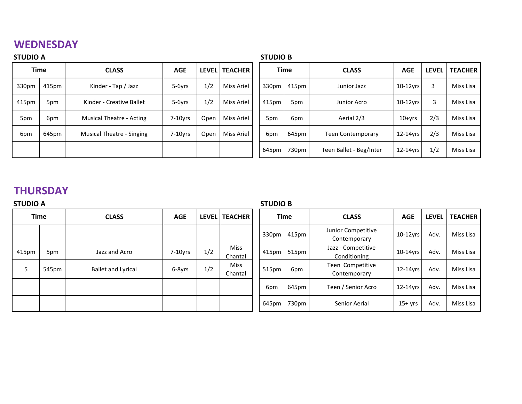# **WEDNESDAY**

| <b>STUDIO A</b> |       |                                  |            |      |                 |  |             | <b>STUDIO B</b> |                          |               |              |                |
|-----------------|-------|----------------------------------|------------|------|-----------------|--|-------------|-----------------|--------------------------|---------------|--------------|----------------|
| <b>Time</b>     |       | <b>CLASS</b>                     | <b>AGE</b> |      | LEVEL   TEACHER |  | <b>Time</b> |                 | <b>CLASS</b>             | <b>AGE</b>    | <b>LEVEL</b> | <b>TEACHER</b> |
| 330pm           | 415pm | Kinder - Tap / Jazz              | 5-6yrs     | 1/2  | Miss Ariel      |  | 330pm       | 415pm           | Junior Jazz              | $10-12$ vrs   | 3            | Miss Lisa      |
| 415pm           | 5pm   | Kinder - Creative Ballet         | 5-6yrs     | 1/2  | Miss Ariel      |  | 415pm       | 5pm             | Junior Acro              | $10-12$ vrs   | 3            | Miss Lisa      |
| 5pm             | 6pm   | Musical Theatre - Acting         | $7-10$ vrs | Open | Miss Ariel      |  | 5pm         | 6pm             | Aerial 2/3               | $10+vrs$      | 2/3          | Miss Lisa      |
| 6pm             | 645pm | <b>Musical Theatre - Singing</b> | $7-10$ vrs | Open | Miss Ariel      |  | 6pm         | 645pm           | <b>Teen Contemporary</b> | $12 - 14$ yrs | 2/3          | Miss Lisa      |
|                 |       |                                  |            |      |                 |  | 645pm       | 730pm           | Teen Ballet - Beg/Inter  | $12 - 14$ yrs | 1/2          | Miss Lisa      |

# **THURSDAY**

| <b>STUDIO B</b> |  |
|-----------------|--|
|                 |  |

| <b>STUDIO A</b> |       |                           |            |     |                        | <b>STUDIO B</b>   |       |                                    |             |              |                |
|-----------------|-------|---------------------------|------------|-----|------------------------|-------------------|-------|------------------------------------|-------------|--------------|----------------|
| <b>Time</b>     |       | <b>CLASS</b>              | <b>AGE</b> |     | LEVEL   TEACHER        | <b>Time</b>       |       | <b>CLASS</b>                       | <b>AGE</b>  | <b>LEVEL</b> | <b>TEACHER</b> |
|                 |       |                           |            |     |                        | 330pm             | 415pm | Junior Competitive<br>Contemporary | $10-12$ yrs | Adv.         | Miss Lisa      |
| 415pm           | 5pm   | Jazz and Acro             | $7-10$ yrs | 1/2 | <b>Miss</b><br>Chantal | 415 <sub>pm</sub> | 515pm | Jazz - Competitive<br>Conditioning | $10-14$ vrs | Adv.         | Miss Lisa      |
| 5               | 545pm | <b>Ballet and Lyrical</b> | 6-8yrs     | 1/2 | <b>Miss</b><br>Chantal | 515pm             | 6pm   | Teen Competitive<br>Contemporary   | $12-14$ yrs | Adv.         | Miss Lisa      |
|                 |       |                           |            |     |                        | 6pm               | 645pm | Teen / Senior Acro                 | 12-14yrs    | Adv.         | Miss Lisa      |
|                 |       |                           |            |     |                        | 645pm             | 730pm | Senior Aerial                      | $15+$ yrs   | Adv.         | Miss Lisa      |